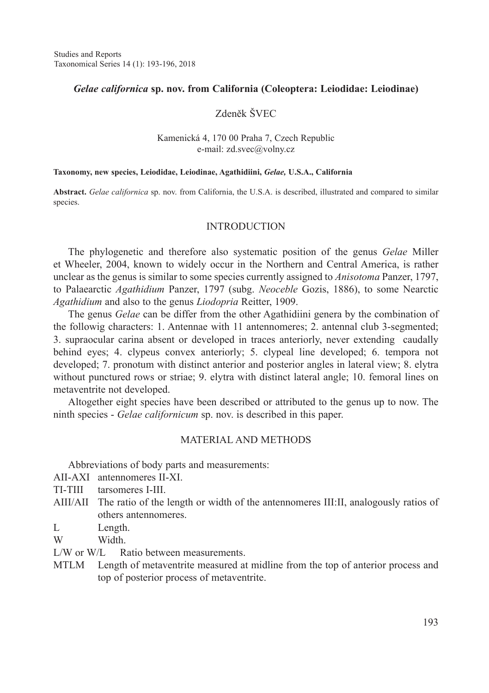## *Gelae californica* **sp. nov. from California (Coleoptera: Leiodidae: Leiodinae)**

# Zdeněk ŠVEC

#### Kamenická 4, 170 00 Praha 7, Czech Republic e-mail: zd.svec@volny.cz

#### **Taxonomy, new species, Leiodidae, Leiodinae, Agathidiini,** *Gelae,* **U.S.A., California**

**Abstract.** *Gelae californica* sp. nov. from California, the U.S.A. is described, illustrated and compared to similar species.

### **INTRODUCTION**

The phylogenetic and therefore also systematic position of the genus *Gelae* Miller et Wheeler, 2004, known to widely occur in the Northern and Central America, is rather unclear as the genus is similar to some species currently assigned to *Anisotoma* Panzer, 1797, to Palaearctic *Agathidium* Panzer, 1797 (subg. *Neoceble* Gozis, 1886), to some Nearctic *Agathidium* and also to the genus *Liodopria* Reitter, 1909.

The genus *Gelae* can be differ from the other Agathidiini genera by the combination of the followig characters: 1. Antennae with 11 antennomeres; 2. antennal club 3-segmented; 3. supraocular carina absent or developed in traces anteriorly, never extending caudally behind eyes; 4. clypeus convex anteriorly; 5. clypeal line developed; 6. tempora not developed; 7. pronotum with distinct anterior and posterior angles in lateral view; 8. elytra without punctured rows or striae; 9. elytra with distinct lateral angle; 10. femoral lines on metaventrite not developed.

Altogether eight species have been described or attributed to the genus up to now. The ninth species - *Gelae californicum* sp. nov. is described in this paper.

## MATERIAL AND METHODS

Abbreviations of body parts and measurements:

- AII-AXI antennomeres II-XI.
- TI-TIII tarsomeres I-III.
- AIII/AII The ratio of the length or width of the antennomeres III:II, analogously ratios of others antennomeres.
- L Length.
- W Width
- L/W or W/L Ratio between measurements.
- MTLM Length of metaventrite measured at midline from the top of anterior process and top of posterior process of metaventrite.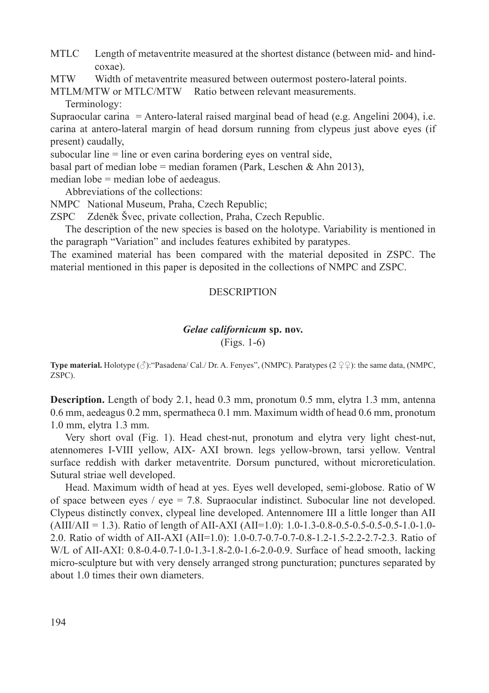MTLC Length of metaventrite measured at the shortest distance (between mid- and hindcoxae).

MTW Width of metaventrite measured between outermost postero-lateral points.

MTLM/MTW or MTLC/MTW Ratio between relevant measurements.

Terminology:

Supraocular carina = Antero-lateral raised marginal bead of head (e.g. Angelini 2004), i.e. carina at antero-lateral margin of head dorsum running from clypeus just above eyes (if present) caudally,

subocular line = line or even carina bordering eyes on ventral side,

basal part of median lobe = median foramen (Park, Leschen & Ahn 2013),

median lobe = median lobe of aedeagus.

Abbreviations of the collections:

NMPC National Museum, Praha, Czech Republic;

ZSPC Zdeněk Švec, private collection, Praha, Czech Republic.

The description of the new species is based on the holotype. Variability is mentioned in the paragraph "Variation" and includes features exhibited by paratypes.

The examined material has been compared with the material deposited in ZSPC. The material mentioned in this paper is deposited in the collections of NMPC and ZSPC.

# **DESCRIPTION**

# *Gelae californicum* **sp. nov.**

(Figs. 1-6)

**Type material.** Holotype (♂):"Pasadena/ Cal./ Dr. A. Fenyes", (NMPC). Paratypes (2 ♀♀): the same data, (NMPC, ZSPC).

**Description.** Length of body 2.1, head 0.3 mm, pronotum 0.5 mm, elytra 1.3 mm, antenna 0.6 mm, aedeagus 0.2 mm, spermatheca 0.1 mm. Maximum width of head 0.6 mm, pronotum 1.0 mm, elytra 1.3 mm.

Very short oval (Fig. 1). Head chest-nut, pronotum and elytra very light chest-nut, atennomeres I-VIII yellow, AIX- AXI brown. legs yellow-brown, tarsi yellow. Ventral surface reddish with darker metaventrite. Dorsum punctured, without microreticulation. Sutural striae well developed.

Head. Maximum width of head at yes. Eyes well developed, semi-globose. Ratio of W of space between eyes / eye = 7.8. Supraocular indistinct. Subocular line not developed. Clypeus distinctly convex, clypeal line developed. Antennomere III a little longer than AII  $(AIII/AIL = 1.3)$ . Ratio of length of AII-AXI  $(AII = 1.0)$ : 1.0-1.3-0.8-0.5-0.5-0.5-0.5-1.0-1.0-2.0. Ratio of width of AII-AXI (AII=1.0): 1.0-0.7-0.7-0.7-0.8-1.2-1.5-2.2-2.7-2.3. Ratio of W/L of AII-AXI: 0.8-0.4-0.7-1.0-1.3-1.8-2.0-1.6-2.0-0.9. Surface of head smooth, lacking micro-sculpture but with very densely arranged strong puncturation; punctures separated by about 1.0 times their own diameters.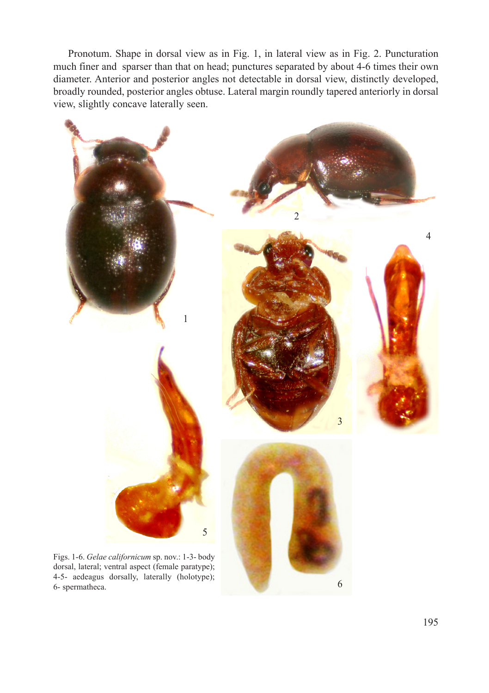Pronotum. Shape in dorsal view as in Fig. 1, in lateral view as in Fig. 2. Puncturation much finer and sparser than that on head; punctures separated by about 4-6 times their own diameter. Anterior and posterior angles not detectable in dorsal view, distinctly developed, broadly rounded, posterior angles obtuse. Lateral margin roundly tapered anteriorly in dorsal view, slightly concave laterally seen.